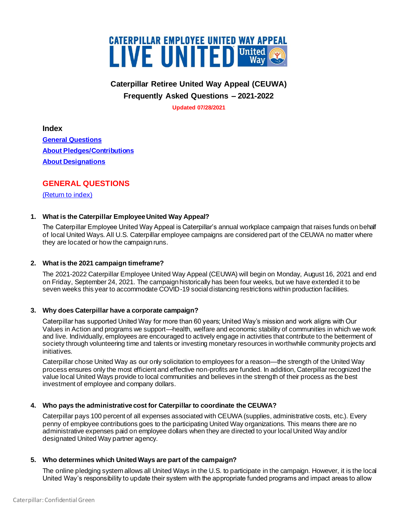

# **Caterpillar Retiree United Way Appeal (CEUWA) Frequently Asked Questions – 2021-2022**

**Updated 07/28/2021**

<span id="page-0-1"></span>**Index**

**[General Questions](#page-0-0) [About Pledges/Contributions](#page-1-0)  [About Designations](#page-3-0)**

# <span id="page-0-0"></span>**GENERAL QUESTIONS**

[\(Return to index\)](#page-0-1)

## **1. What is the Caterpillar Employee United Way Appeal?**

The Caterpillar Employee United Way Appeal is Caterpillar's annual workplace campaign that raises funds on behalf of local United Ways. All U.S. Caterpillar employee campaigns are considered part of the CEUWA no matter where they are located or how the campaign runs.

## **2. What is the 2021 campaign timeframe?**

The 2021-2022 Caterpillar Employee United Way Appeal (CEUWA) will begin on Monday, August 16, 2021 and end on Friday, September 24, 2021. The campaign historically has been four weeks, but we have extended it to be seven weeks this year to accommodate COVID-19 social distancing restrictions within production facilities.

## **3. Why does Caterpillar have a corporate campaign?**

Caterpillar has supported United Way for more than 60 years; United Way's mission and work aligns with Our Values in Action and programs we support—health, welfare and economic stability of communities in which we work and live. Individually, employees are encouraged to actively engage in activities that contribute to the betterment of society through volunteering time and talents or investing monetary resources in worthwhile community projects and initiatives.

Caterpillar chose United Way as our only solicitation to employees for a reason—the strength of the United Way process ensures only the most efficient and effective non-profits are funded. In addition, Caterpillar recognized the value local United Ways provide to local communities and believes in the strength of their process as the best investment of employee and company dollars.

## **4. Who pays the administrative cost for Caterpillar to coordinate the CEUWA?**

Caterpillar pays 100 percent of all expenses associated with CEUWA (supplies, administrative costs, etc.). Every penny of employee contributions goes to the participating United Way organizations. This means there are no administrative expenses paid on employee dollars when they are directed to your local United Way and/or designated United Way partner agency.

## **5. Who determines which United Ways are part of the campaign?**

The online pledging system allows all United Ways in the U.S. to participate in the campaign. However, it is the local United Way's responsibility to update their system with the appropriate funded programs and impact areas to allow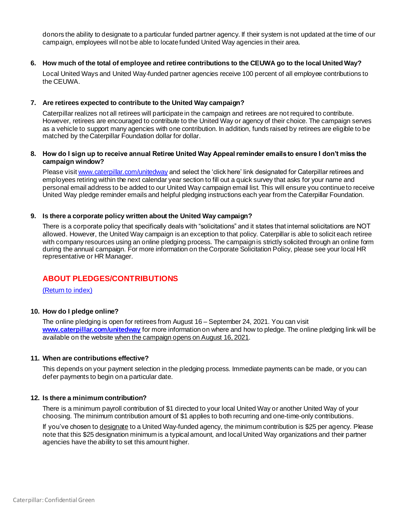donors the ability to designate to a particular funded partner agency. If their system is not updated at the time of our campaign, employees will not be able to locate funded United Way agencies in their area.

#### **6. How much of the total of employee and retiree contributions to the CEUWA go to the local United Way?**

Local United Ways and United Way-funded partner agencies receive 100 percent of all employee contributions to the CEUWA.

#### **7. Are retirees expected to contribute to the United Way campaign?**

Caterpillar realizes not all retirees will participate in the campaign and retirees are not required to contribute. However, retirees are encouraged to contribute to the United Way or agency of their choice. The campaign serves as a vehicle to support many agencies with one contribution. In addition, funds raised by retirees are eligible to be matched by the Caterpillar Foundation dollar for dollar.

#### **8. How do I sign up to receive annual Retiree United Way Appeal reminder emails to ensure I don't miss the campaign window?**

Please visi[t www.caterpillar.com/unitedway](http://www.caterpillar.com/unitedway) and select the 'click here' link designated for Caterpillar retirees and employees retiring within the next calendar year section to fill out a quick survey that asks for your name and personal email address to be added to our United Way campaign email list. This will ensure you continue to receive United Way pledge reminder emails and helpful pledging instructions each year from the Caterpillar Foundation.

#### **9. Is there a corporate policy written about the United Way campaign?**

There is a corporate policy that specifically deals with "solicitations" and it states that internal solicitations are NOT allowed. However, the United Way campaign is an exception to that policy. Caterpillar is able to solicit each retiree with company resources using an online pledging process. The campaign is strictly solicited through an online form during the annual campaign. For more information on the Corporate Solicitation Policy, please see your local HR representative or HR Manager.

# <span id="page-1-0"></span>**ABOUT PLEDGES/CONTRIBUTIONS**

[\(Return to index\)](#page-0-1)

## **10. How do I pledge online?**

The online pledging is open for retirees from August 16 – September 24, 2021. You can visit **[www.caterpillar.com/unitedway](http://www.caterpillar.com/unitedway)** for more information on where and how to pledge. The online pledging link will be available on the website when the campaign opens on August 16, 2021.

#### **11. When are contributions effective?**

This depends on your payment selection in the pledging process. Immediate payments can be made, or you can defer payments to begin on a particular date.

#### **12. Is there a minimum contribution?**

There is a minimum payroll contribution of \$1 directed to your local United Way or another United Way of your choosing. The minimum contribution amount of \$1 applies to both recurring and one-time-only contributions.

If you've chosen to designate to a United Way-funded agency, the minimum contribution is \$25 per agency. Please note that this \$25 designation minimum is a typical amount, and local United Way organizations and their partner agencies have the ability to set this amount higher.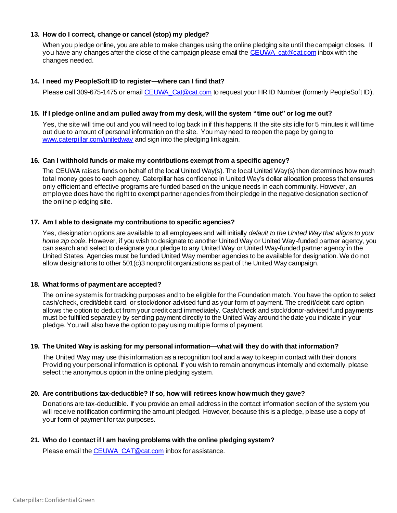## **13. How do I correct, change or cancel (stop) my pledge?**

When you pledge online, you are able to make changes using the online pledging site until the campaign closes. If you have any changes after the close of the campaign please email the CEUWA cat@cat.com inbox with the changes needed.

#### **14. I need my PeopleSoft ID to register—where can I find that?**

Please call 309-675-1475 or email CEUWA Cat@cat.com to request your HR ID Number (formerly PeopleSoft ID).

#### **15. If I pledge online and am pulled away from my desk, will the system "time out" or log me out?**

Yes, the site will time out and you will need to log back in if this happens. If the site sits idle for 5 minutes it will time out due to amount of personal information on the site. You may need to reopen the page by going to [www.caterpillar.com/unitedway](http://www.caterpillar.com/unitedway) and sign into the pledging link again.

#### **16. Can I withhold funds or make my contributions exempt from a specific agency?**

The CEUWA raises funds on behalf of the local United Way(s). The local United Way(s) then determines how much total money goes to each agency. Caterpillar has confidence in United Way's dollar allocation process that ensures only efficient and effective programs are funded based on the unique needs in each community. However, an employee does have the right to exempt partner agencies from their pledge in the negative designation section of the online pledging site.

#### **17. Am I able to designate my contributions to specific agencies?**

Yes, designation options are available to all employees and will initially *default to the United Way that aligns to your home zip code*. However, if you wish to designate to another United Way or United Way-funded partner agency, you can search and select to designate your pledge to any United Way or United Way-funded partner agency in the United States. Agencies must be funded United Way member agencies to be available for designation. We do not allow designations to other 501(c)3 nonprofit organizations as part of the United Way campaign.

#### **18. What forms of payment are accepted?**

The online system is for tracking purposes and to be eligible for the Foundation match. You have the option to select cash/check, credit/debit card, or stock/donor-advised fund as your form of payment. The credit/debit card option allows the option to deduct from your credit card immediately. Cash/check and stock/donor-advised fund payments must be fulfilled separately by sending payment directly to the United Way around the date you indicate in your pledge. You will also have the option to pay using multiple forms of payment.

## **19. The United Way is asking for my personal information—what will they do with that information?**

The United Way may use this information as a recognition tool and a way to keep in contact with their donors. Providing your personal information is optional. If you wish to remain anonymous internally and externally, please select the anonymous option in the online pledging system.

## **20. Are contributions tax-deductible? If so, how will retirees know how much they gave?**

Donations are tax-deductible. If you provide an email address in the contact information section of the system you will receive notification confirming the amount pledged. However, because this is a pledge, please use a copy of your form of payment for tax purposes.

## **21. Who do I contact if I am having problems with the online pledging system?**

Please email the CEUWA CAT@cat.com inbox for assistance.